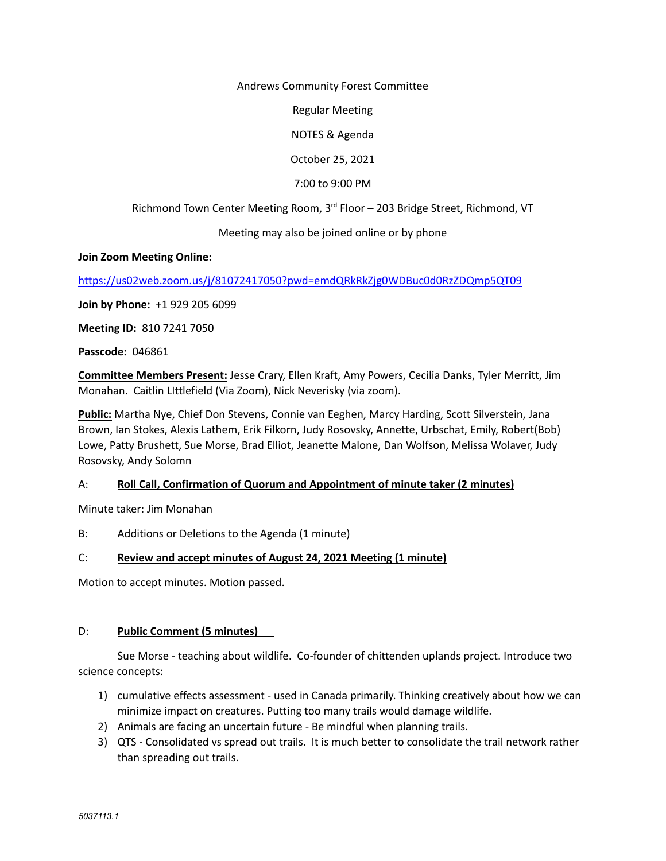Andrews Community Forest Committee

Regular Meeting

NOTES & Agenda

October 25, 2021

7:00 to 9:00 PM

Richmond Town Center Meeting Room, 3<sup>rd</sup> Floor - 203 Bridge Street, Richmond, VT

## Meeting may also be joined online or by phone

#### **Join Zoom Meeting Online:**

<https://us02web.zoom.us/j/81072417050?pwd=emdQRkRkZjg0WDBuc0d0RzZDQmp5QT09>

**Join by Phone:** +1 929 205 6099

**Meeting ID:** 810 7241 7050

**Passcode:** 046861

**Committee Members Present:** Jesse Crary, Ellen Kraft, Amy Powers, Cecilia Danks, Tyler Merritt, Jim Monahan. Caitlin LIttlefield (Via Zoom), Nick Neverisky (via zoom).

**Public:** Martha Nye, Chief Don Stevens, Connie van Eeghen, Marcy Harding, Scott Silverstein, Jana Brown, Ian Stokes, Alexis Lathem, Erik Filkorn, Judy Rosovsky, Annette, Urbschat, Emily, Robert(Bob) Lowe, Patty Brushett, Sue Morse, Brad Elliot, Jeanette Malone, Dan Wolfson, Melissa Wolaver, Judy Rosovsky, Andy Solomn

### A: **Roll Call, Confirmation of Quorum and Appointment of minute taker (2 minutes)**

Minute taker: Jim Monahan

B: Additions or Deletions to the Agenda (1 minute)

### C: **Review and accept minutes of August 24, 2021 Meeting (1 minute)**

Motion to accept minutes. Motion passed.

### D: **Public Comment (5 minutes)**

Sue Morse - teaching about wildlife. Co-founder of chittenden uplands project. Introduce two science concepts:

- 1) cumulative effects assessment used in Canada primarily. Thinking creatively about how we can minimize impact on creatures. Putting too many trails would damage wildlife.
- 2) Animals are facing an uncertain future Be mindful when planning trails.
- 3) QTS Consolidated vs spread out trails. It is much better to consolidate the trail network rather than spreading out trails.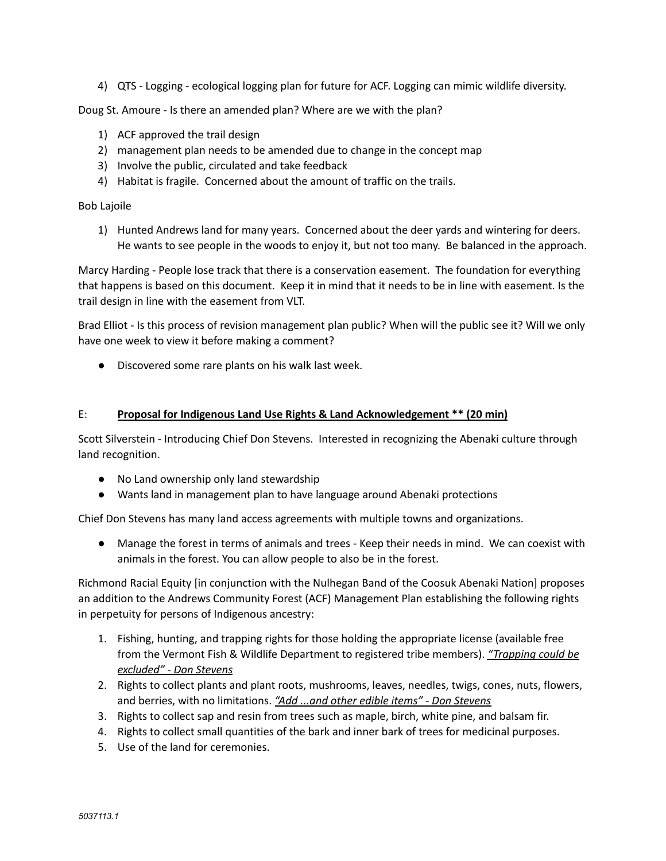4) QTS - Logging - ecological logging plan for future for ACF. Logging can mimic wildlife diversity.

Doug St. Amoure - Is there an amended plan? Where are we with the plan?

- 1) ACF approved the trail design
- 2) management plan needs to be amended due to change in the concept map
- 3) Involve the public, circulated and take feedback
- 4) Habitat is fragile. Concerned about the amount of traffic on the trails.

#### Bob Lajoile

1) Hunted Andrews land for many years. Concerned about the deer yards and wintering for deers. He wants to see people in the woods to enjoy it, but not too many. Be balanced in the approach.

Marcy Harding - People lose track that there is a conservation easement. The foundation for everything that happens is based on this document. Keep it in mind that it needs to be in line with easement. Is the trail design in line with the easement from VLT.

Brad Elliot - Is this process of revision management plan public? When will the public see it? Will we only have one week to view it before making a comment?

● Discovered some rare plants on his walk last week.

### E: **Proposal for Indigenous Land Use Rights & Land Acknowledgement \*\* (20 min)**

Scott Silverstein - Introducing Chief Don Stevens. Interested in recognizing the Abenaki culture through land recognition.

- No Land ownership only land stewardship
- Wants land in management plan to have language around Abenaki protections

Chief Don Stevens has many land access agreements with multiple towns and organizations.

● Manage the forest in terms of animals and trees - Keep their needs in mind. We can coexist with animals in the forest. You can allow people to also be in the forest.

Richmond Racial Equity [in conjunction with the Nulhegan Band of the Coosuk Abenaki Nation] proposes an addition to the Andrews Community Forest (ACF) Management Plan establishing the following rights in perpetuity for persons of Indigenous ancestry:

- 1. Fishing, hunting, and trapping rights for those holding the appropriate license (available free from the Vermont Fish & Wildlife Department to registered tribe members). *"Trapping could be excluded" - Don Stevens*
- 2. Rights to collect plants and plant roots, mushrooms, leaves, needles, twigs, cones, nuts, flowers, and berries, with no limitations. *"Add ...and other edible items" - Don Stevens*
- 3. Rights to collect sap and resin from trees such as maple, birch, white pine, and balsam fir.
- 4. Rights to collect small quantities of the bark and inner bark of trees for medicinal purposes.
- 5. Use of the land for ceremonies.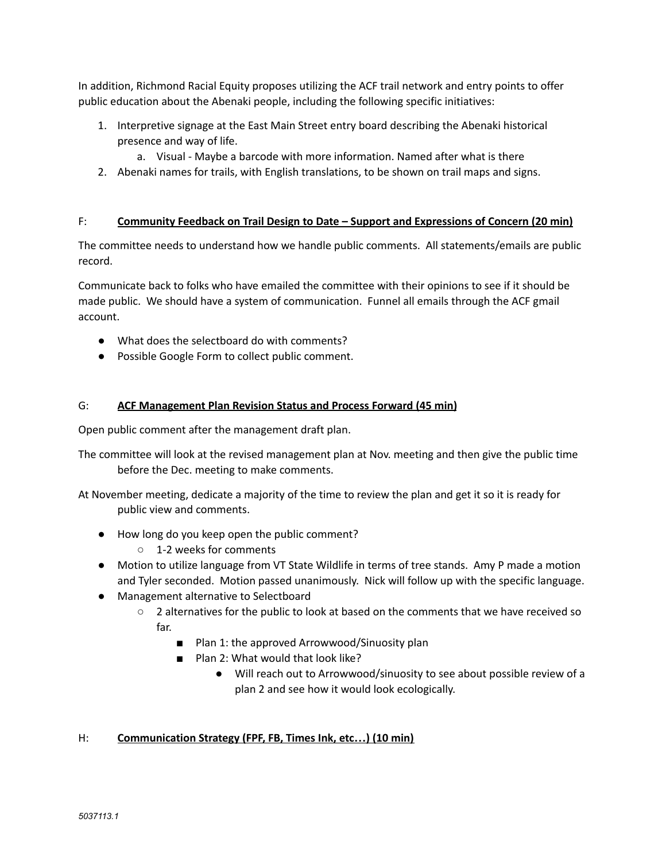In addition, Richmond Racial Equity proposes utilizing the ACF trail network and entry points to offer public education about the Abenaki people, including the following specific initiatives:

- 1. Interpretive signage at the East Main Street entry board describing the Abenaki historical presence and way of life.
	- a. Visual Maybe a barcode with more information. Named after what is there
- 2. Abenaki names for trails, with English translations, to be shown on trail maps and signs.

# F: **Community Feedback on Trail Design to Date – Support and Expressions of Concern (20 min)**

The committee needs to understand how we handle public comments. All statements/emails are public record.

Communicate back to folks who have emailed the committee with their opinions to see if it should be made public. We should have a system of communication. Funnel all emails through the ACF gmail account.

- What does the selectboard do with comments?
- Possible Google Form to collect public comment.

## G: **ACF Management Plan Revision Status and Process Forward (45 min)**

Open public comment after the management draft plan.

The committee will look at the revised management plan at Nov. meeting and then give the public time before the Dec. meeting to make comments.

At November meeting, dedicate a majority of the time to review the plan and get it so it is ready for public view and comments.

- How long do you keep open the public comment?
	- 1-2 weeks for comments
- Motion to utilize language from VT State Wildlife in terms of tree stands. Amy P made a motion and Tyler seconded. Motion passed unanimously. Nick will follow up with the specific language.
- Management alternative to Selectboard
	- $\circ$  2 alternatives for the public to look at based on the comments that we have received so far.
		- Plan 1: the approved Arrowwood/Sinuosity plan
		- Plan 2: What would that look like?
			- Will reach out to Arrowwood/sinuosity to see about possible review of a plan 2 and see how it would look ecologically.

# H: **Communication Strategy (FPF, FB, Times Ink, etc…) (10 min)**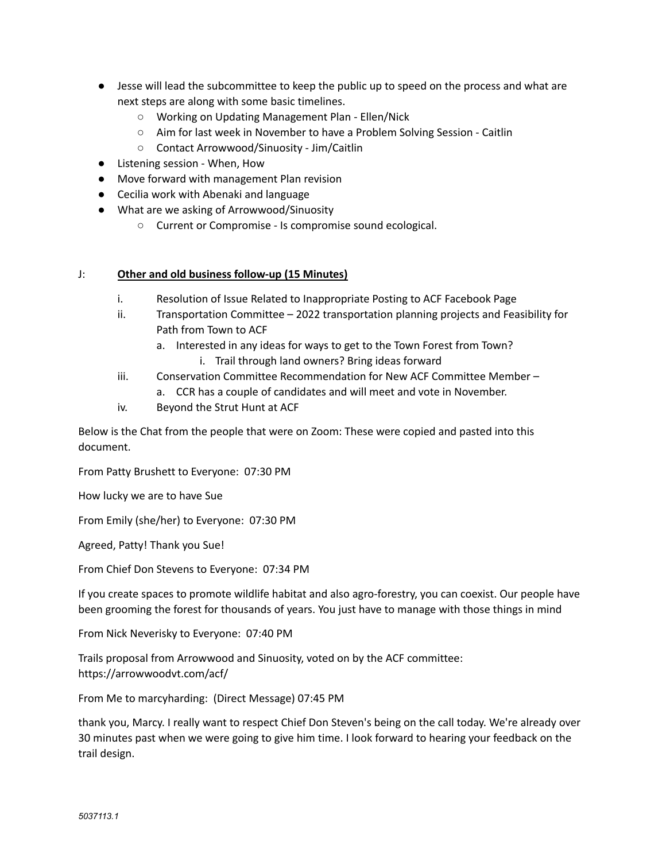- Jesse will lead the subcommittee to keep the public up to speed on the process and what are next steps are along with some basic timelines.
	- Working on Updating Management Plan Ellen/Nick
	- Aim for last week in November to have a Problem Solving Session Caitlin
	- Contact Arrowwood/Sinuosity Jim/Caitlin
- Listening session When, How
- Move forward with management Plan revision
- Cecilia work with Abenaki and language
- What are we asking of Arrowwood/Sinuosity
	- Current or Compromise Is compromise sound ecological.

#### J: **Other and old business follow-up (15 Minutes)**

- i. Resolution of Issue Related to Inappropriate Posting to ACF Facebook Page
- ii. Transportation Committee 2022 transportation planning projects and Feasibility for Path from Town to ACF
	- a. Interested in any ideas for ways to get to the Town Forest from Town? i. Trail through land owners? Bring ideas forward
- iii. Conservation Committee Recommendation for New ACF Committee Member a. CCR has a couple of candidates and will meet and vote in November.
- iv. Beyond the Strut Hunt at ACF

Below is the Chat from the people that were on Zoom: These were copied and pasted into this document.

From Patty Brushett to Everyone: 07:30 PM

How lucky we are to have Sue

From Emily (she/her) to Everyone: 07:30 PM

Agreed, Patty! Thank you Sue!

From Chief Don Stevens to Everyone: 07:34 PM

If you create spaces to promote wildlife habitat and also agro-forestry, you can coexist. Our people have been grooming the forest for thousands of years. You just have to manage with those things in mind

From Nick Neverisky to Everyone: 07:40 PM

Trails proposal from Arrowwood and Sinuosity, voted on by the ACF committee: https://arrowwoodvt.com/acf/

From Me to marcyharding: (Direct Message) 07:45 PM

thank you, Marcy. I really want to respect Chief Don Steven's being on the call today. We're already over 30 minutes past when we were going to give him time. I look forward to hearing your feedback on the trail design.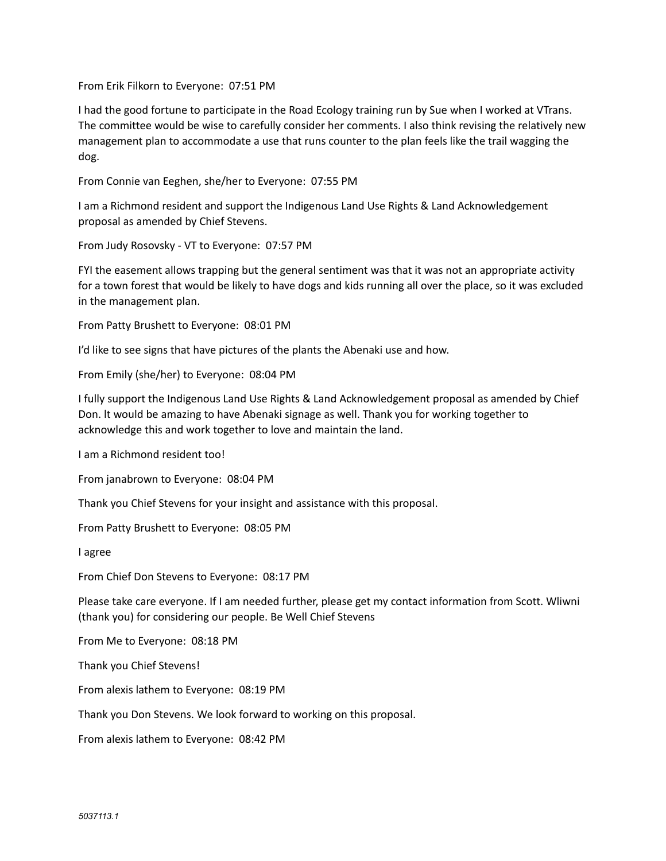From Erik Filkorn to Everyone: 07:51 PM

I had the good fortune to participate in the Road Ecology training run by Sue when I worked at VTrans. The committee would be wise to carefully consider her comments. I also think revising the relatively new management plan to accommodate a use that runs counter to the plan feels like the trail wagging the dog.

From Connie van Eeghen, she/her to Everyone: 07:55 PM

I am a Richmond resident and support the Indigenous Land Use Rights & Land Acknowledgement proposal as amended by Chief Stevens.

From Judy Rosovsky - VT to Everyone: 07:57 PM

FYI the easement allows trapping but the general sentiment was that it was not an appropriate activity for a town forest that would be likely to have dogs and kids running all over the place, so it was excluded in the management plan.

From Patty Brushett to Everyone: 08:01 PM

I'd like to see signs that have pictures of the plants the Abenaki use and how.

From Emily (she/her) to Everyone: 08:04 PM

I fully support the Indigenous Land Use Rights & Land Acknowledgement proposal as amended by Chief Don. lt would be amazing to have Abenaki signage as well. Thank you for working together to acknowledge this and work together to love and maintain the land.

I am a Richmond resident too!

From janabrown to Everyone: 08:04 PM

Thank you Chief Stevens for your insight and assistance with this proposal.

From Patty Brushett to Everyone: 08:05 PM

I agree

From Chief Don Stevens to Everyone: 08:17 PM

Please take care everyone. If I am needed further, please get my contact information from Scott. Wliwni (thank you) for considering our people. Be Well Chief Stevens

From Me to Everyone: 08:18 PM

Thank you Chief Stevens!

From alexis lathem to Everyone: 08:19 PM

Thank you Don Stevens. We look forward to working on this proposal.

From alexis lathem to Everyone: 08:42 PM